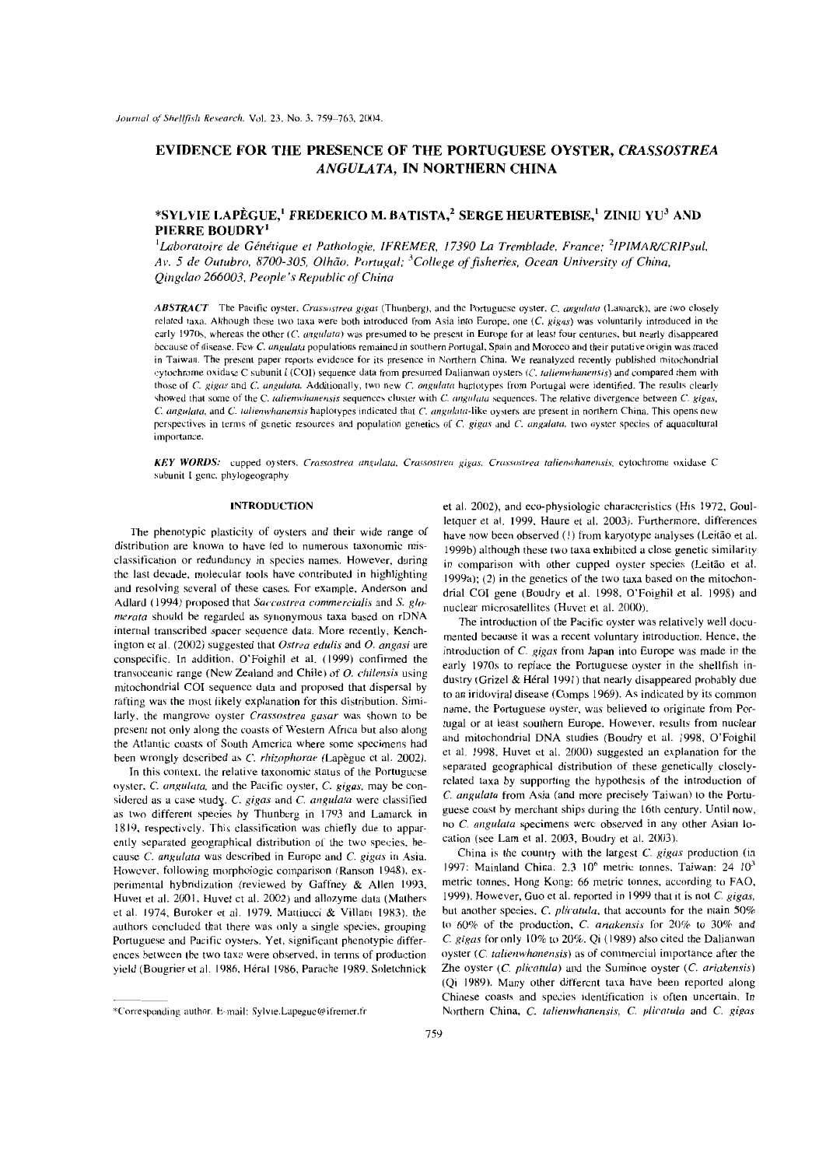# EVIDENCE FOR THE PRESENCE OF THE PORTUGUESE OYSTER, CRASSOSTREA ANGULATA. IN NORTHERN CHINA

## \*SYLVIE LAPÈGUE,<sup>1</sup> FREDERICO M. BATISTA,<sup>2</sup> SERGE HEURTEBISE,<sup>1</sup> ZINIU YU<sup>3</sup> AND PIERRE BOUDRY<sup>1</sup>

<sup>1</sup>Laboratoire de Génétique et Pathologie, IFREMER, 17390 La Tremblade, France; <sup>2</sup>IPIMAR/CRIPsul, Av. 5 de Outubro, 8700-305, Olhão, Portugal; <sup>3</sup>College of fisheries, Ocean University of China, Oingdao 266003, People's Republic of China

ABSTRACT The Pacific oyster, Crassostrea gigas (Thunberg), and the Portuguese oyster, C. angulata (Lamarck), are two closely related taxa. Although these two taxa were both introduced from Asia into Europe, one (C. gigas) was voluntarily introduced in the carly 1970s, whereas the other (C. angulata) was presumed to be present in Europe for at least four centuries, but nearly disappeared because of disease. Few C. angulata populations remained in southern Portugal, Spain and Morocco and their putative origin was traced in Taiwan. The present paper reports evidence for its presence in Northern China. We reanalyzed recently published mitochondrial cytochrome oxidase C subunit I (COI) sequence data from presumed Dalianwan oysters (C. talienwhanensis) and compared them with those of C. gigas and C. angulata. Additionally, two new C. angulata haplotypes from Portugal were identified. The results clearly showed that some of the C. talienwhanensis sequences cluster with C. angulata sequences. The relative divergence between C. gigas, C. angulata, and C. talienwhanensis haplotypes indicated that C. angulata-like oysters are present in northern China. This opens new perspectives in terms of genetic resources and population genetics of C. gigas and C. angulata, two oyster species of aquacultural importance.

KEY WORDS: cupped oysters, Crassostrea angulata, Crassostrea gigas, Crassostrea talienwhanensis, cytochrome oxidase C subunit I genc, phylogeography

### **INTRODUCTION**

The phenotypic plasticity of oysters and their wide range of distribution are known to have led to numerous taxonomic misclassification or redundancy in species names. However, during the last decade, molecular tools have contributed in highlighting and resolving several of these cases. For example, Anderson and Adlard (1994) proposed that Saccostrea commercialis and S. glomerata should be regarded as synonymous taxa based on rDNA internal transcribed spacer sequence data. More recently, Kenchington et al.  $(2002)$  suggested that Ostrea edulis and O. angasi are conspecific. In addition, O'Foighil et al. (1999) confirmed the transoceanic range (New Zealand and Chile) of  $O$ . chilensis using mitochondrial COI sequence data and proposed that dispersal by rafting was the most likely explanation for this distribution. Similarly, the mangrove oyster Crassostrea gasar was shown to be present not only along the coasts of Western Africa but also along the Atlantic coasts of South America where some specimens had been wrongly described as C. rhizophorae (Lapègue et al. 2002).

In this context, the relative taxonomic status of the Portuguese oyster, C. angulata, and the Pacific oyster, C. gigas, may be considered as a case study. C. gigas and C. angulata were classified as two different species by Thunberg in 1793 and Lamarck in 1819, respectively. This classification was chiefly due to apparently separated geographical distribution of the two species, because C. angulata was described in Europe and C. gigas in Asia. However, following morphologic comparison (Ranson 1948), experimental hybridization (reviewed by Gaffney & Allen 1993, Huvet et al. 2001, Huvet ct al. 2002) and allozyme data (Mathers et al. 1974, Buroker et al. 1979, Mattiucci & Villani 1983), the authors concluded that there was only a single species, grouping Portuguese and Pacific oysters. Yet, significant phenotypic differences between the two taxa were observed, in terms of production yield (Bougrier et al. 1986, Héral 1986, Parache 1989, Soletchnick

et al. 2002), and eco-physiologic characteristics (His 1972, Goulletquer et al. 1999, Haure et al. 2003). Furthermore, differences have now been observed (1) from karyotype analyses (Leitão et al. 1999b) although these two taxa exhibited a close genetic similarity in comparison with other cupped oyster species (Leitão et al.  $1999a$ ; (2) in the genetics of the two taxa based on the mitochondrial COI gene (Boudry et al. 1998, O'Foighil et al. 1998) and nuclear microsatellites (Huvet et al. 2000).

The introduction of the Pacific oyster was relatively well documented because it was a recent voluntary introduction. Hence, the introduction of C. gigas from Japan into Europe was made in the early 1970s to replace the Portuguese oyster in the shellfish industry (Grizel & Héral 1991) that nearly disappeared probably due to an iridoviral disease (Comps 1969). As indicated by its common name, the Portuguese oyster, was believed to originate from Portugal or at least southern Europe. However, results from nuclear and mitochondrial DNA studies (Boudry et al. 1998, O'Foighil et al. 1998, Huvet et al. 2000) suggested an explanation for the separated geographical distribution of these genetically closelyrelated taxa by supporting the hypothesis of the introduction of C. angulata from Asia (and more precisely Taiwan) to the Portuguese coast by merchant ships during the 16th century. Until now, no C. angulata specimens werc observed in any other Asian location (see Lam et al. 2003, Boudry et al. 2003).

China is the country with the largest C. gigas production (in 1997: Mainland China: 2.3 10<sup>6</sup> metric tonnes, Taiwan: 24 10<sup>3</sup> metric tonnes, Hong Kong: 66 metric tonnes, according to FAO, 1999). However, Guo et al. reported in 1999 that it is not C. gigas, but another species, C. plicatula, that accounts for the main 50% to 60% of the production, C. ariakensis for 20% to 30% and C. gigas for only 10% to 20%. Qi (1989) also cited the Dalianwan oyster (C. talienwhanensis) as of commercial importance after the Zhe oyster (C. plicatula) and the Suminoe oyster (C. ariakensis) (Qi 1989). Many other different taxa have been reported along Chinese coasts and species identification is often uncertain. In Northern China, C. talienwhanensis, C. plicatula and C. gigas

<sup>\*</sup>Corresponding author. E-mail: Sylvie.Lapegue@ifremer.fr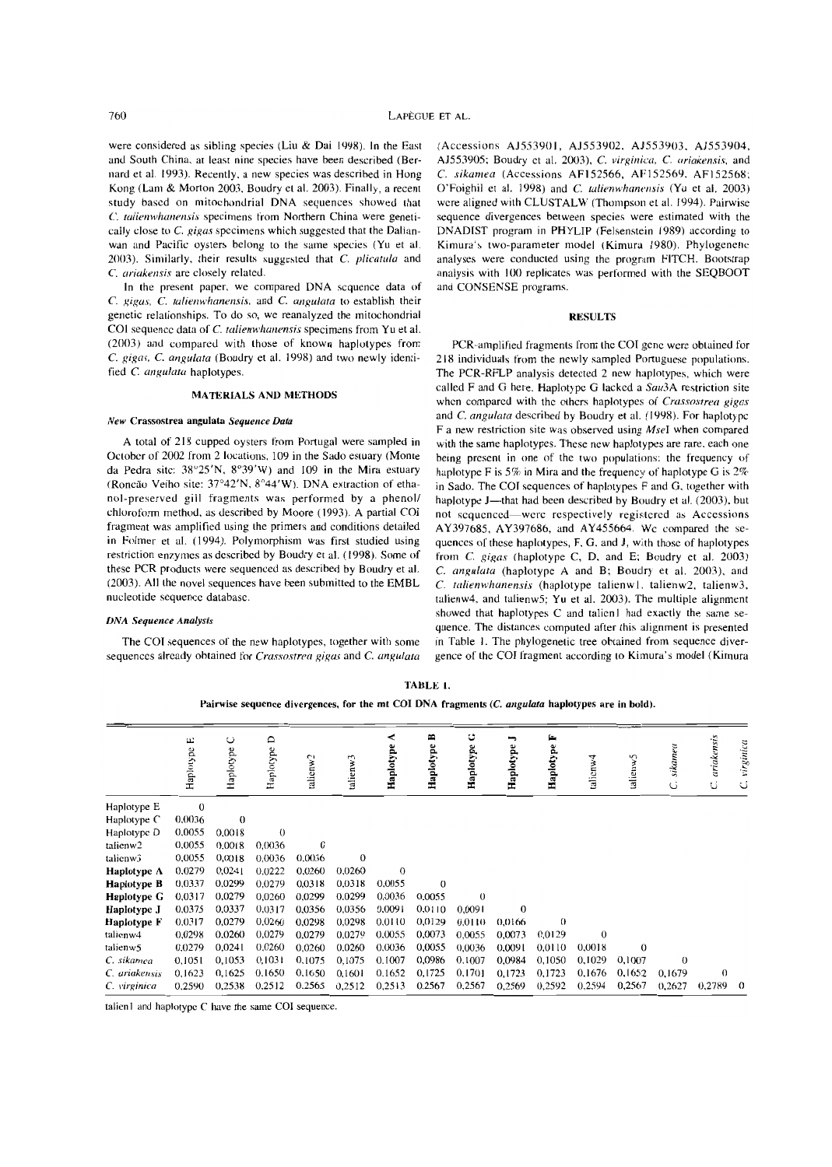were considered as sibling species (Liu & Dai 1998). In the East (Accessions AJ553901, AJ553902, AJ553903, AJ553904, and South China, at least nine species have been described (Ber-AJ553905; Boudry et al. 2003), C. *virginica, C. ariakensis*, and nard et al. 1993). Recently, a new species was described in Hong *C. sikamea* (Accessions AF152566, AF152569, AF152568; Kong (Lam & Morton 2003, Boudry et al. 2003). Finally, a recent O'Foighil et al. 1998) and C. *talienwhanensis* (Yu et al. 2003) study bascd on mitochondrial DNA sequences showed that were aligned with CLUSTALW (Thompson et al. 1994). Pairwise C. talienwhanensis specimens from Northern China were geneti- sequence divergences between species were estimated with the cally close to C. *gigas* specimens which suggested that the Dalian-DNADIST program in PHYLIP (Felsenstein 1989) according to wan and Pacific oysters belong to the same species (Yu et al. Kimura's two-parameter model (Kimura 1980). Phylogenetic 20(3). Similarly, their results suggested that C. *plicatu/a* and analyses were conducted using the program f1TCH. Bootstrap

In the present paper, we compared DNA scquence data of and CONSENSE programs. *C. gigas, C. talienwhanensis, and C. angulata to establish their* genetic relationships. To do so, we reanalyzed the mitochondrial RESULTS COI sequence data of *C. talienwhanensis* specimens from Yu et al.

sequences already obtained for *Crassostrea gigas* and *C. angulata* 

C. *ariakensis* are closely related. **analysis** with 100 replicates was performed with the SEQBOOT

(2003) and compared with those of known haplotypes from PCR-amplified fragments from the COI gene were obtained for C. gigas, C. angulata (Boudry et al. 1998) and two newly identi- 218 individuals from the newly sampled Portuguese populations. fied *C. angulata* haplotypes.<br> **The PCR-RFLP** analysis detected 2 new haplotypes, which were<br> **Called F** and G here. Haplotype G lacked a Sau3A restriction site matterially a *sale F* and G here. Haplotype G lacked a *Sau3A* restriction site<br>when compared with the others haplotypes of *Crassostrea gigas* New Crassostrea angulata *Sequence Data neural and C. angulata* described by Boudry et al. (1998). For haplotype F a new restriction site was observed using  $MseI$  when compared A total of 218 cupped oysters from Portugal were sampled in with the same haplotypes. These new haplotypes are rare, each one October of 2002 from 2 locations, 109 in the Sado estuary (Monte being present in one of the two October of 2002 from 2 locations, 109 in the Sado estuary (Monte being present in one of the two populations: the frequency of da Pedra site: 38°25′N, 8°39′W) and 109 in the Mira estuary haplotype F is 5% in Mira and the da Pedra site: 38°25'N, 8°39'W) and 109 in the Mira estuary haplotype F is 5% in Mira and the frequency of haplotype G is 2% (Roncão Velho site: 37°42'N, 8°44'W). DNA extraction of etha- in Sado. The COI sequences of hapl (Roncão Velho site:  $37^{\circ}42'N$ ,  $8^{\circ}44'W$ ). DNA extraction of etha- in Sado. The COI sequences of haplotypes F and G, together with nol-preserved gill fragments was performed by a phenol/ haplotype J—that had been des nol-preserved gill fragments was performed by a phenol/ haplotype J—that had been described by Boudry et al. (2003), but chloroform method, as described by Moore (1993). A partial COI not sequenced—were respectively regist chloroform method, as described by Moore (1993). A partial COI not sequenced—were respectively registered as Accessions fragment was amplified using the primers and conditions detailed  $\Delta$   $\gamma$ 397685  $\Delta$   $\gamma$ 397686 and fragment was amplified using the primers and conditions detailed AY397685, AY397686, and AY455664. We compared the se-<br>in Folmer et al. (1994). Polymorphism was first studied using quences of these banlotynes. F. G. and J. in Folmer et al. (1994). Polymorphism was first studied using quences of these haplotypes, F, G, and J, with those of haplotypes restriction enzymes as described by Boudry et al. (1998). Some of from C, gigas (haplotype C restriction enzymes as described by Boudry et al. (1998). Some of from C. gigas (haplotype C, D, and E; Boudry et al. 2003). and these PCR products were sequenced as described by Boudry et al.  $\degree$  C. angulata (haplotype these PCR products were sequenced as described by Boudry et al. C. *angulata* (haplotype A and B; Boudry et al. 2003), and (2003). All the novel sequences have been submitted to the EMBL C. *talienwhanensis* (haplotype tal (2003). Ali the novel sequences have been submitted to the EMBL C. *talicnwhanensis* (haplotype talienw 1., talienw2, talienw3, talienw4, and talienw5; Yu et al. 2003). The multiple alignment **Showed that haplotypes C and talien 1 had exactly the same se-**<br>quence. The distances computed after this alignment is presented The COI sequences of the new haplotypes, together with some in Table 1. The phylogenetic tree obtained from sequence diver-<br>quences already obtained for *Crassostrea gigas* and *C. angulata* gence of the COI fragment accor

TABLE L

Pairwise sequence divergences, for the mt COI DNA fragments (C. *angulata* haplotypes are in bold).

|                      | $\sqcup$<br>Haplotype | ں<br>Haplotype | $\circ$<br>Haplotype | talienw <sub>2</sub> | talienw3 | ⋖<br>Haplotype | B<br>Haplotype | ಀ<br>Haplotype | ∽<br>Haplotype | p.<br>Haplotype | 4<br>talicnw | talienw5 | sikamea<br>Ċ | ariakensis<br>C | virginica<br>ن |
|----------------------|-----------------------|----------------|----------------------|----------------------|----------|----------------|----------------|----------------|----------------|-----------------|--------------|----------|--------------|-----------------|----------------|
| Haplotype E          | $\bf{0}$              |                |                      |                      |          |                |                |                |                |                 |              |          |              |                 |                |
| Haplotype C          | 0,0036                | $\theta$       |                      |                      |          |                |                |                |                |                 |              |          |              |                 |                |
| Haplotype D          | 0,0055                | 0,0018         | $\theta$             |                      |          |                |                |                |                |                 |              |          |              |                 |                |
| talienw <sub>2</sub> | 0,0055                | 0.0018         | 0.0036               | $\theta$             |          |                |                |                |                |                 |              |          |              |                 |                |
| talienw3             | 0,0055                | 0,0018         | 0,0036               | 0,0036               | $\theta$ |                |                |                |                |                 |              |          |              |                 |                |
| Haplotype $\Lambda$  | 0,0279                | 0,0241         | 0,0222               | 0.0260               | 0,0260   | $\mathbf{0}$   |                |                |                |                 |              |          |              |                 |                |
| <b>Haplotype B</b>   | 0.0337                | 0.0299         | 0,0279               | 0.0318               | 0.0318   | 0.0055         | $\Omega$       |                |                |                 |              |          |              |                 |                |
| <b>Haplotype G</b>   | 0.0317                | 0.0279         | 0,0260               | 0.0299               | 0.0299   | 0,0036         | 0.0055         | $\theta$       |                |                 |              |          |              |                 |                |
| Haplotype J          | 0.0375                | 0.0337         | 0,0317               | 0,0356               | 0.0356   | 0.0091         | 0.0110         | 0,0091         | $\theta$       |                 |              |          |              |                 |                |
| Haplotype F          | 0.0317                | 0,0279         | 0,0260               | 0,0298               | 0,0298   | 0.0110         | 0,0129         | 0.0110         | 0,0166         | $\theta$        |              |          |              |                 |                |
| talienw4             | 0,0298                | 0,0260         | 0,0279               | 0,0279               | 0,0279   | 0,0055         | 0,0073         | 0.0055         | 0.0073         | 0.0129          | $\Omega$     |          |              |                 |                |
| talienw5             | 0.0279                | 0.0241         | 0.0260               | 0,0260               | 0.0260   | 0.0036         | 0,0055         | 0,0036         | 0,0091         | 0.0110          | 0,0018       | $\Omega$ |              |                 |                |
| C. sikamea           | 0,1051                | 0,1053         | 0,1031               | 0,1075               | 0,1075   | 0.1007         | 0.0986         | 0,1007         | 0.0984         | 0.1050          | 0,1029       | 0,1007   | $\theta$     |                 |                |
| C. ariakensis        | 0,1623                | 0,1625         | 0.1650               | 0,1650               | 0,1601   | 0.1652         | 0,1725         | 0,1701         | 0,1723         | 0,1723          | 0,1676       | 0,1652   | 0,1679       | $\Omega$        |                |
| C. virginica         | 0,2590                | 0,2538         | 0.2512               | 0.2565               | 0,2512   | 0,2513         | 0,2567         | 0,2567         | 0,2569         | 0,2592          | 0,2594       | 0,2567   | 0,2627       | 0,2789          | $\Omega$       |

talien1 and haplotype C have the same COI sequence.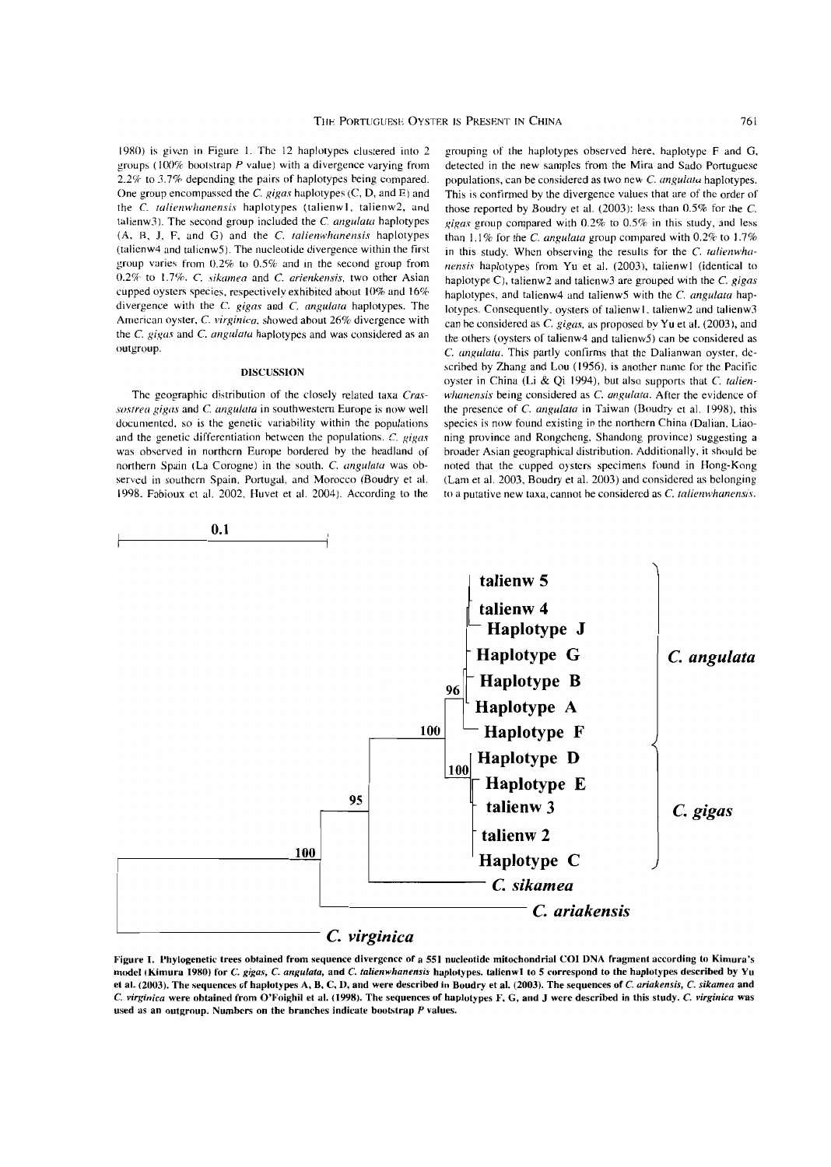19RO) is given in Figure 1. The 12 haplotypes clustered into 2 groups (100% bootstrap  $P$  value) with a divergence varying from 2.2% to 3.7% depending the pairs of haplotypes being compared. One group encompassed the C. *gigas* haplotypes (C, D, and E) and the *C. talienwhanensis* haplotypes (talienw1, talienw2, and talienw3). The second group included the C. angulata haplotypes (A, B, J, F, and G) and the C. talienwhanensis haplotypes (talienw4 and talienw5J. The nueleotide divergence within the first group varies from 0.2% to 0.5% and in the second group from 0.2% to 1.7%. *C. sikamea* and *C. arienkensis*, two other Asian cupped oysters species. respectively exhibited ahout 10% and 16% divergence with the C. gigas and C. angulata haplotypes. The Arnerican oyster, C. *virginica,* showed about 26% divergence with the C. gigas and C. angulata haplotypes and was considered as an outgroup.

### DISCUSSION

The geographic distribution of the closely related taxa *Cras sostrea gigas and C. angulata* in southwestern Europe is now well documented, so is the genetic variahility within the populations and the genetic differentiation hetwcen the populations. C. *gigas*  was observed in northcrn Europe bordered by the headland of northern Spain (La Corogne) in the south. C. angulata was observed in southern Spain. Portugal, and Morocco (Boudry et al. 1998. Fabioux et al. 2002, Huvet et al. 2004). According to the

grouping of the haplotypes observed here. haplotype F and G, detected in the new samples from the Mira and Sado Portuguese populations, can be considered as two new C. *angu/ata* haplotypes. This is confirmed by the divergence values that are of the order of those reported by Boudry et al. (2003): less than 0.5% for the C. *gigas* group compared with 0,2% to 0.5% in this study, and less than 1.1% for the *C. angulata* group compared with 0.2% to 1.7% in this study. When observing the results for the C. talienwha*nensis* haplotypes from Yu et al. (2003), talienw1 (identical to haplotype *Cl,* talienw2 and talienw3 are grouped with the C. *gigas*  haplotypes, and talienw4 and talienw5 with the C. *angulata* haplotypes. Consequently, oysters of talienw1, talienw2 and talienw3 can he considered as C. *gigas.* as proposed by Yu et al. (2003), and the others (oysters of talienw4 and talienw5) can be considered as C. *angulata*. This partly confirms that the Dalianwan oyster, dcscrihed hy Zhang and Lou (1956), is another name for the Pacitïc oyster in China (Li & Qi 1994), but also supports that C. *talien*whanensis being considered as C. angulata. After the evidence of the presence of *C. angulata* in Taiwan (Boudry et al. 1998), this species is now found existing in the northern China (Dalian, Liaoning province and Rongcheng, Shandong province) suggesting a hroader Asian geographical distribution. Additionally, it should be noted that the cupped oysters specimens found in Hong-Kong (Lam et al. 2003, Boudry et al. 2003) and considered as belonging to a putative new taxa, cannot be considered as *C. talienwhanensis*.



Figure 1. Phylogenetic trees obtained from sequence divergence of a 551 nucleotide mitochondrial COI DNA fragment according to Kimura's model (Kimura 1980) for C. gigas, C. angulata, and C. talienwhanensis haplotypes. talienw1 to 5 correspond to the haplotypes described by Yu et al. (2003). The sequences of haplotypes A, B, C, D, and were deseribed in Boudry et al. (2003), The sequences of C. *ariakensis,* C. *sikamea* and C. virginica were obtained from O'Foighil et al. (1998). The sequences of haplotypes F, G, and J were described in this study. C. virginica was used as an outgroup. Numbers on the branches indicate boolstrap *P* values.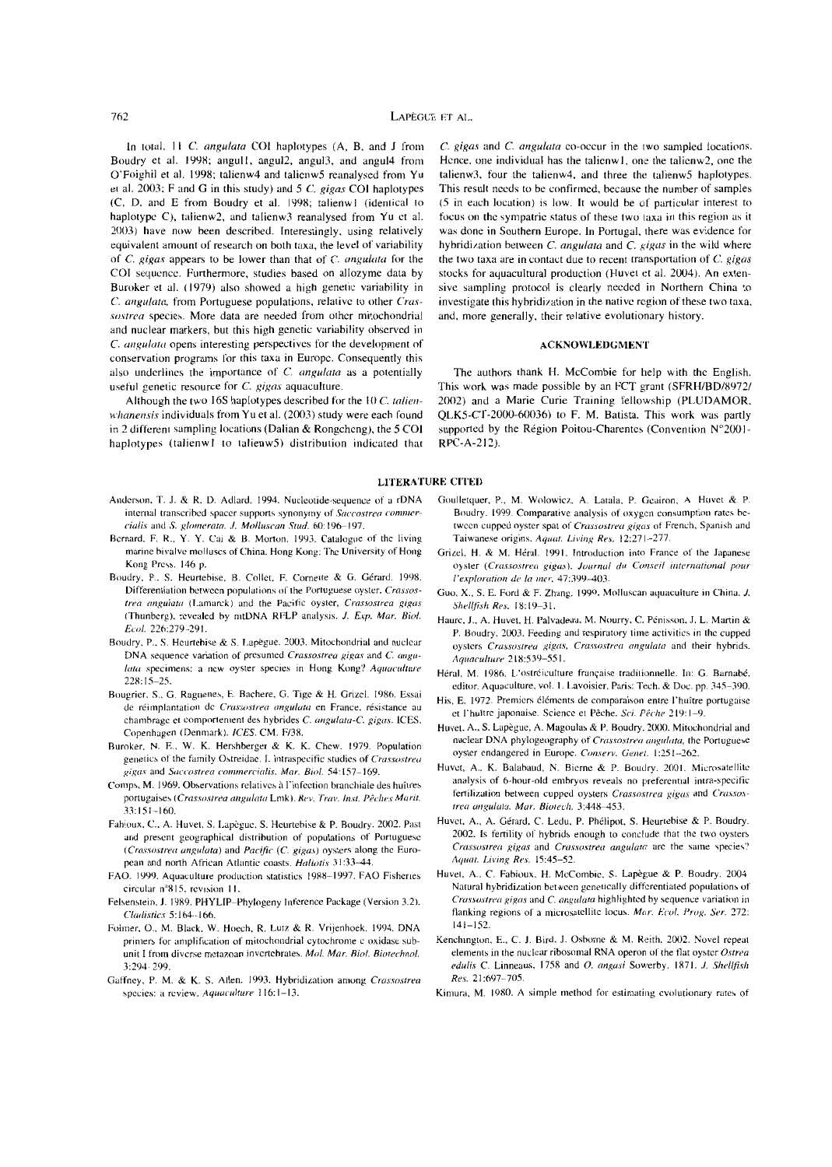In total, 11 C. angulata COI haplotypes (A, B, and J from Boudry et al. 1998; angull. angu12, angul3, and angul4 from O'Foighil et al. 1998; talienw4 and talienw5 reanalysed from Yu et al. 2003: F and G in this study) and *5* C. gigas COI haplotypes  $(C, D, and E from Boundary et al. 1998; talienw1 (identical to$ haplotype C), talienw2, and talienw3 reanalysed from Yu et al. 20(3) have now been described. Interestingly, using relatively equivalent amount of research on both taxa, the level of variability of  $C$ . gigas appears to be lower than that of  $C$ . angulata for the COI sequencc. Furthermore. studies based on allozyme data by Buroker et al. (1979) also showed a high genetic variability in C. angulata, from Portuguese populations, relative to other Crassostrea species. More data are needed from other mitochondrial and nuclear markers, but this high genctic variability obscrvcd in C. angulata opens interesting perspectives for the development of conservation programs for this taxa in Europe. Consequently this also underlines the importance of  $C$ . angulata as a potentially useful genetic resource for  $C$ . gigas aquaculture.

Although the two 16S haplotypes described for the 10  $C$ . talienwhanensis individuals from Yu et al. (2003) study were each found in 2 different sampling locations (Dalian & Rongchcng), the *5* COI haplotypes (talienw1 to talienw5) distribution indicated that

- Anderson. T. J. & R. D. Adlard. 1994. Nucleotide-sequence of a rDNA internal transcribed spacer supports synonymy of *Saccostrea commercialis and S. glomerata. J. Molluscan Stud.* 60:196-197.
- Bernard, F. R., Y. Y. Cai & B. Morton. 1993. Catalogue of the living marine bivalve molluscs of China. Hong Kong: The University of Hong Kong Press. 146 p.
- Boudry, P., S. Heurtebise, B. Collet, F. Cornette & G. Gérard. 1998. Differentiation between populations of the Portuguese oyster, Crassostrea angulata (Lamarck) and the Pacific oyster, Crassostrea gigas (Thunberg). revealed by nitDNA RFLP analysis. *J. Exp. Mar. Biol. Ecol. 226:279-291.*
- Boudry. p.. S. Heurtehise & S. Lapègue. 2003. Milochondrial and nuclcar DNA sequence variation of presumed *Crassostrea gigas* and *C. angulalll* specimens: a ncw oysler species in Hong Kong'! *Aquaculture*  228: 15-25.
- Bougrier, S., G. Raguenes, E. Bachere, G. Tige & H. Grizel. 1986. Essai de réimplantation dc *Crassoslrea angulura* en France. résistance au chambrage et comportement des hybrides C. angulata-C. gigas. ICES. Copenhagen (Denmark). *ICES. CM. F/38.*
- Buroker. N. E.. W. K. Hershberger & K. K. Chew. 1979. Population genetics of the family Ostreidae. I. Intraspecific studies of *Crassostrea gigas* and *Saccostrea commerciali.... Mar. Biol.* ~4: 157-169.
- Comps, M. 1969. Observations relatives à l'infection branchiale des huîtres portugaises (Crassostrea angulata Lmk). Rev. *Trav. Inst. Pêches Marit.* 33:151-160.
- Fahioux, C., A. Huvet, S. Lapègue, S. Heurtebise & P. Boudry. 2002. Past and present geographical distrihution of populations of Portuguese *(Crassostrea angulata)* and *Pacific (C. gigas)* oysters along the European and north African Atlantic coasts. *Haliotis* 31:33-44.
- FAO. 1999. Aquacullure production statistics 19R8-1997. FAO Fishenes circular n°815, revision 11.
- Felsenstein. J. 19R9. PHYLIP-Phylogeny Inference Package (Version 3.2). *c/{/(Ii.l/ics* 5: 164--166.
- Folmer, O., M. Black, W. Hoech, R. Lutz & R. Vrijenhoek. 1994. DNA primers for amplification of mitochondrial cytochrome c oxidase subunit I from diverse metazoan invertebrates. *Mol. Mar. Biol. Biotechnol.* 3:294 299.
- Gaffney, P. M. & K. S. Allen. 1993. Hybridization among *Crassostrea* species: a review. *Aquaculture* 116:1-13.

 $C$ . gigas and  $C$ . angulata co-occur in the two sampled locations. Hence. one individual has the talicnw 1, one the talienw2, onc the talienw3, four the talienw4, and three the talienwS haplotypes. This result nccds to be confirmed, because the number of samples (5 in each location) is low. Il would be of particular interest to focus on the sympatrie status of these two laxa in this region as it was done in Southern Europe. In Portugal, there was evidence for hybridization between  $C$ . angulata and  $C$ . gigas in the wild where the two taxa are in contact due to recent transportation of  $C$ , gigas stocks for aquacultural production (Huvet ct al. 2004). An extensive sampling protocol is cIearly needed in Northern China to investigate this hybridization in the native region of these two taxa. and, more generally, their relative evolutionary history.

### ACKNOWLEDGMENT

The authors thank H. McCombie for help with the English. This work was made possible by an FCT grant (SFRH/BD/8972/ 2002) and a Marie Curie Training fellowship (PLUDAMOR, QLKS-CT-2000-6(036) to F. M. Batista. This work was partIy supported by the Région Poitou-Charentes (Convention N°2001-RPC-A-212).

### LITERATURE CITED

- Goulletquer, P., M. Wolowicz, A. Latala. P. Geairon, A. Hovet & P. Boudry. 1999. Comparative analysis of oxygen consumption rates between cupped oyster spat of *Crassostrea gigas* of French, Spanish and Taiwanese origins. *Aquat. Living Res.* 12:271-277.
- Grizel, H. & M. Héral. 1991. Introduction into France of the Japanese oyster *(Crassostrea gigas)*. Journal du Conseil international pour *l'exploration de la mer.* 47:399-403.
- Guo, X., S. E. Ford & F. Zhang. 1999. Molluscan aquaculture in China. J. *Sheillisiz Res.* 18: 19-3 1.
- Haurc, J., A. Huvet, H. Palvadeau, M. Nourry, C. Pénisson, J. L. Martin & P. Boudry. 2003. Feeding and respiratory time activities in the eupped oysters *Crassostrea gigas, Crassostrea angulata* and their hybrids. *Aqaacu/lllrt· 218:539-551.*
- Héral, M. 1986. L'ostréiculture française traditionnelle. In: G. Barnabé. editor. Aquaculture, vol. 1. Lavoisier, Paris: Tech. & Doc. pp. 345-390.
- His. E. 1972. Premiers éléments de comparaison entre l'huître portugaise et l'huître japonaise. Science et Pêche. Sci. Pêche 219:1-9.
- Huvet, A., S. Lapègue, A. Magoulas & P. Boudry. 2000. Mitochondrial and nuclear DNA phylogeography of *Crassostrea angulata*, the Portuguese oyster endangered in Europe. Conserv. Genet. 1:251--262.
- Huvet. A.. K. Balahaud. N. Bierne & P. Boudry. 2001. Microsatellite analysis of 6-hour-old emhryos reveals no preferential intra-specific fertilization between cupped oysters *Crassostrea gigas* and *Crassos*trea angulata. Mar. Biotech. 3:448-453.
- Huvet, A., A. Gérard, C. Ledu, P. Phélipot, S. Heurtebise & P. Boudry. 2002. Is fertility or hybrids enough to conclude that the two oyslers *Crassostrea gigas and Crassostrea angulata arc the same species?* A*'Il/{/{.* 1.i1';1I1i *Rn. 15:45-52.*
- Huvet, A., C. Fabioux, H. McCombie, S. Lapègue & P. Boudry. 2004. Natural hybridization between genetically differentiated populations of *Crassostrea gigas and C. angulata* highlighted by sequence variation in flanking regions of a microsatellite locus. *Mar. Ecol. Prog. Ser.* 272:  $|41-152|$
- Kenchington, E., C. J. Bird. J. Osborne & M. Reith. 2002. Novel repeat elements in the nuclear ribosomal RNA operon of the flat oyster Ostrea *edulis C. Linneaus, 1758 and O. angasi Sowerby, 1871. J. Shellfish Res. 21:697-705.*
- Kimura, M. 1980. A simple method for estimating evolutionary rates of